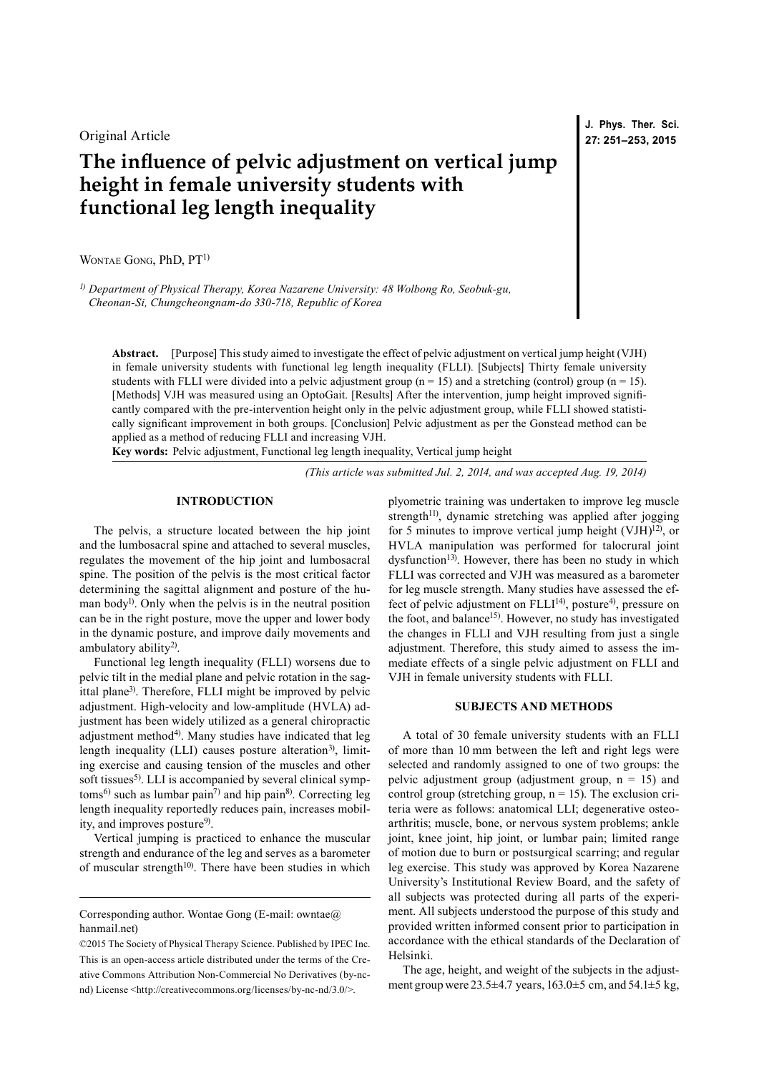Original Article

# **The influence of pelvic adjustment on vertical jump height in female university students with functional leg length inequality**

WONTAE GONG, PhD, PT<sup>1)</sup>

*1) Department of Physical Therapy, Korea Nazarene University: 48 Wolbong Ro, Seobuk-gu, Cheonan-Si, Chungcheongnam-do 330-718, Republic of Korea*

**Abstract.** [Purpose] This study aimed to investigate the effect of pelvic adjustment on vertical jump height (VJH) in female university students with functional leg length inequality (FLLI). [Subjects] Thirty female university students with FLLI were divided into a pelvic adjustment group ( $n = 15$ ) and a stretching (control) group ( $n = 15$ ). [Methods] VJH was measured using an OptoGait. [Results] After the intervention, jump height improved significantly compared with the pre-intervention height only in the pelvic adjustment group, while FLLI showed statistically significant improvement in both groups. [Conclusion] Pelvic adjustment as per the Gonstead method can be applied as a method of reducing FLLI and increasing VJH.

**Key words:** Pelvic adjustment, Functional leg length inequality, Vertical jump height

*(This article was submitted Jul. 2, 2014, and was accepted Aug. 19, 2014)*

## **INTRODUCTION**

The pelvis, a structure located between the hip joint and the lumbosacral spine and attached to several muscles, regulates the movement of the hip joint and lumbosacral spine. The position of the pelvis is the most critical factor determining the sagittal alignment and posture of the human body<sup>1)</sup>. Only when the pelvis is in the neutral position can be in the right posture, move the upper and lower body in the dynamic posture, and improve daily movements and ambulatory ability<sup>[2\)](#page-2-1)</sup>.

Functional leg length inequality (FLLI) worsens due to pelvic tilt in the medial plane and pelvic rotation in the sagittal plane<sup>3)</sup>. Therefore, FLLI might be improved by pelvic adjustment. High-velocity and low-amplitude (HVLA) adjustment has been widely utilized as a general chiropractic adjustment method<sup>[4\)](#page-2-3)</sup>. Many studies have indicated that leg length inequality (LLI) causes posture alteration<sup>3</sup>), limiting exercise and causing tension of the muscles and other soft tissues<sup>[5](#page-2-4))</sup>. LLI is accompanied by several clinical symp $toms<sup>6</sup>$  such as lumbar pain<sup>7</sup> and hip pain<sup>8</sup>. Correcting leg length inequality reportedly reduces pain, increases mobil-ity, and improves posture<sup>[9\)](#page-2-8)</sup>.

Vertical jumping is practiced to enhance the muscular strength and endurance of the leg and serves as a barometer of muscular strength<sup>10</sup>. There have been studies in which plyometric training was undertaken to improve leg muscle strength<sup>11)</sup>, dynamic stretching was applied after jogging for 5 minutes to improve vertical jump height (VJH)<sup>12)</sup>, or HVLA manipulation was performed for talocrural joint dysfunction<sup>13)</sup>. However, there has been no study in which FLLI was corrected and VJH was measured as a barometer for leg muscle strength. Many studies have assessed the effect of pelvic adjustment on  $FLLI<sup>14</sup>$ , posture<sup>4</sup>, pressure on the foot, and balance<sup>15)</sup>. However, no study has investigated the changes in FLLI and VJH resulting from just a single adjustment. Therefore, this study aimed to assess the immediate effects of a single pelvic adjustment on FLLI and VJH in female university students with FLLI.

## **SUBJECTS AND METHODS**

A total of 30 female university students with an FLLI of more than 10 mm between the left and right legs were selected and randomly assigned to one of two groups: the pelvic adjustment group (adjustment group,  $n = 15$ ) and control group (stretching group,  $n = 15$ ). The exclusion criteria were as follows: anatomical LLI; degenerative osteoarthritis; muscle, bone, or nervous system problems; ankle joint, knee joint, hip joint, or lumbar pain; limited range of motion due to burn or postsurgical scarring; and regular leg exercise. This study was approved by Korea Nazarene University's Institutional Review Board, and the safety of all subjects was protected during all parts of the experiment. All subjects understood the purpose of this study and provided written informed consent prior to participation in accordance with the ethical standards of the Declaration of Helsinki.

The age, height, and weight of the subjects in the adjustment group were 23.5±4.7 years, 163.0±5 cm, and 54.1±5 kg,

**J. Phys. Ther. Sci. 27: 251–253, 2015**

Corresponding author. Wontae Gong (E-mail: owntae $@$ ) hanmail.net)

<sup>©2015</sup> The Society of Physical Therapy Science. Published by IPEC Inc. This is an open-access article distributed under the terms of the Creative Commons Attribution Non-Commercial No Derivatives (by-ncnd) License [<http://creativecommons.org/licenses/by-nc-nd/3.0/>](http://creativecommons.org/licenses/by-nc-nd/3.0/).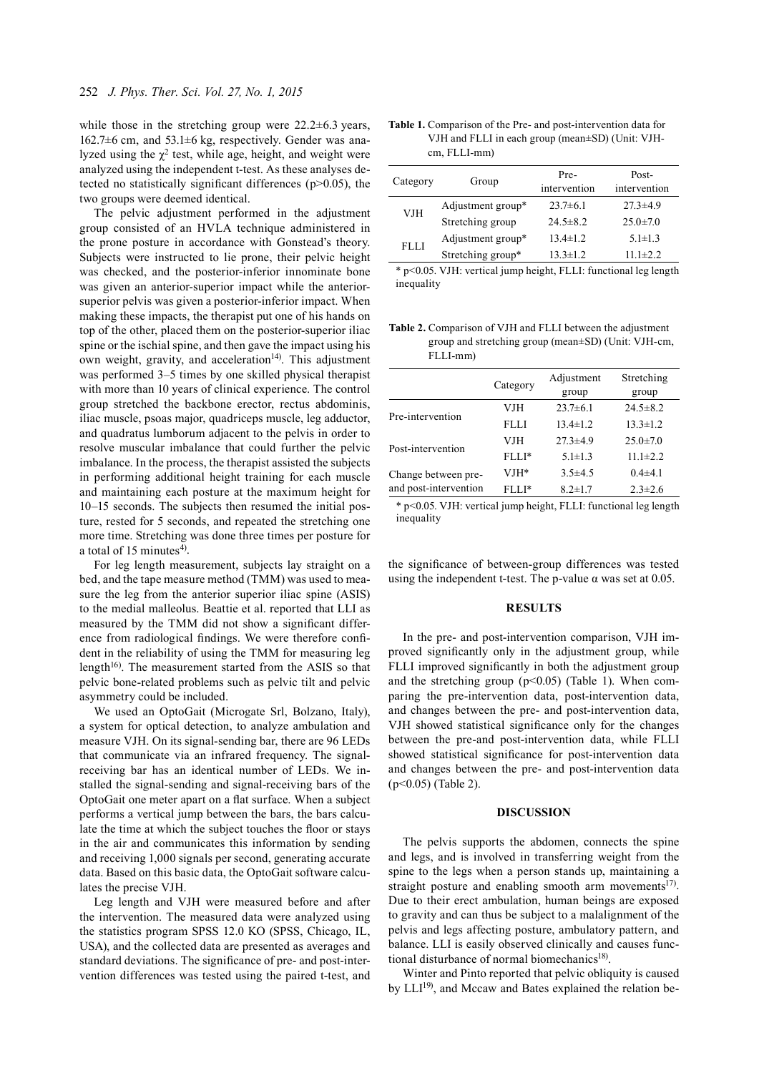while those in the stretching group were  $22.2\pm6.3$  years, 162.7±6 cm, and 53.1±6 kg, respectively. Gender was analyzed using the  $χ²$  test, while age, height, and weight were analyzed using the independent t-test. As these analyses detected no statistically significant differences (p>0.05), the two groups were deemed identical.

The pelvic adjustment performed in the adjustment group consisted of an HVLA technique administered in the prone posture in accordance with Gonstead's theory. Subjects were instructed to lie prone, their pelvic height was checked, and the posterior-inferior innominate bone was given an anterior-superior impact while the anteriorsuperior pelvis was given a posterior-inferior impact. When making these impacts, the therapist put one of his hands on top of the other, placed them on the posterior-superior iliac spine or the ischial spine, and then gave the impact using his own weight, gravity, and acceleration<sup>14)</sup>. This adjustment was performed 3–5 times by one skilled physical therapist with more than 10 years of clinical experience. The control group stretched the backbone erector, rectus abdominis, iliac muscle, psoas major, quadriceps muscle, leg adductor, and quadratus lumborum adjacent to the pelvis in order to resolve muscular imbalance that could further the pelvic imbalance. In the process, the therapist assisted the subjects in performing additional height training for each muscle and maintaining each posture at the maximum height for 10–15 seconds. The subjects then resumed the initial posture, rested for 5 seconds, and repeated the stretching one more time. Stretching was done three times per posture for a total of 15 minutes<sup>[4](#page-2-3))</sup>.

For leg length measurement, subjects lay straight on a bed, and the tape measure method (TMM) was used to measure the leg from the anterior superior iliac spine (ASIS) to the medial malleolus. Beattie et al. reported that LLI as measured by the TMM did not show a significant difference from radiological findings. We were therefore confident in the reliability of using the TMM for measuring leg length<sup>16)</sup>. The measurement started from the ASIS so that pelvic bone-related problems such as pelvic tilt and pelvic asymmetry could be included.

We used an OptoGait (Microgate Srl, Bolzano, Italy), a system for optical detection, to analyze ambulation and measure VJH. On its signal-sending bar, there are 96 LEDs that communicate via an infrared frequency. The signalreceiving bar has an identical number of LEDs. We installed the signal-sending and signal-receiving bars of the OptoGait one meter apart on a flat surface. When a subject performs a vertical jump between the bars, the bars calculate the time at which the subject touches the floor or stays in the air and communicates this information by sending and receiving 1,000 signals per second, generating accurate data. Based on this basic data, the OptoGait software calculates the precise VJH.

Leg length and VJH were measured before and after the intervention. The measured data were analyzed using the statistics program SPSS 12.0 KO (SPSS, Chicago, IL, USA), and the collected data are presented as averages and standard deviations. The significance of pre- and post-intervention differences was tested using the paired t-test, and

**Table 1.** Comparison of the Pre- and post-intervention data for VJH and FLLI in each group (mean±SD) (Unit: VJHcm, FLLI-mm)

| Category | Group             | Pre-<br>intervention | Post-<br>intervention |
|----------|-------------------|----------------------|-----------------------|
| VJH      | Adjustment group* | $23.7\pm 6.1$        | $27.3 \pm 4.9$        |
|          | Stretching group  | $24.5 \pm 8.2$       | $25.0 \pm 7.0$        |
| FLLI     | Adjustment group* | $13.4 \pm 1.2$       | $5.1 \pm 1.3$         |
|          | Stretching group* | $13.3 \pm 1.2$       | $11.1 \pm 2.2$        |

\* p<0.05. VJH: vertical jump height, FLLI: functional leg length inequality

**Table 2.** Comparison of VJH and FLLI between the adjustment group and stretching group (mean±SD) (Unit: VJH-cm, FLLI-mm)

|                       |                    | Adjustment     | Stretching     |
|-----------------------|--------------------|----------------|----------------|
|                       | Category           | group          | group          |
|                       | VJH                | $23.7\pm 6.1$  | $24.5 \pm 8.2$ |
| Pre-intervention      | FLLI               | $13.4 \pm 1.2$ | $13.3 \pm 1.2$ |
|                       | VJH                | $27.3 \pm 4.9$ | $25.0 \pm 7.0$ |
| Post-intervention     | $FLI$ <sup>*</sup> | $5.1 \pm 1.3$  | $11.1 \pm 2.2$ |
| Change between pre-   | VJH*               | $3.5 \pm 4.5$  | $0.4 \pm 4.1$  |
| and post-intervention | FLLI*              | $8.2 \pm 1.7$  | $2.3 \pm 2.6$  |

\* p<0.05. VJH: vertical jump height, FLLI: functional leg length inequality

the significance of between-group differences was tested using the independent t-test. The p-value  $\alpha$  was set at 0.05.

### **RESULTS**

In the pre- and post-intervention comparison, VJH improved significantly only in the adjustment group, while FLLI improved significantly in both the adjustment group and the stretching group  $(p<0.05)$  (Table 1). When comparing the pre-intervention data, post-intervention data, and changes between the pre- and post-intervention data, VJH showed statistical significance only for the changes between the pre-and post-intervention data, while FLLI showed statistical significance for post-intervention data and changes between the pre- and post-intervention data (p<0.05) (Table 2).

### **DISCUSSION**

The pelvis supports the abdomen, connects the spine and legs, and is involved in transferring weight from the spine to the legs when a person stands up, maintaining a straight posture and enabling smooth arm movements $17$ ). Due to their erect ambulation, human beings are exposed to gravity and can thus be subject to a malalignment of the pelvis and legs affecting posture, ambulatory pattern, and balance. LLI is easily observed clinically and causes functional disturbance of normal biomechanics<sup>18)</sup>.

Winter and Pinto reported that pelvic obliquity is caused by LLI<sup>19</sup>, and Mccaw and Bates explained the relation be-